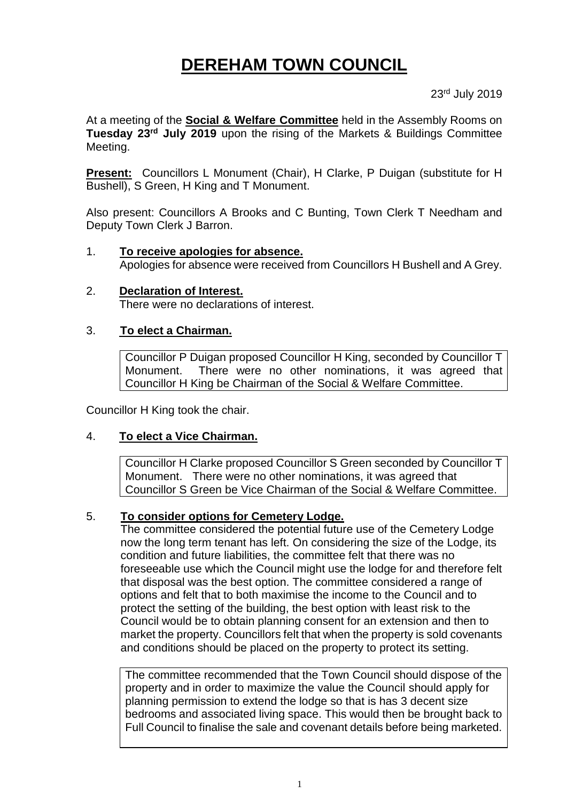## **DEREHAM TOWN COUNCIL**

23rd July 2019

At a meeting of the **Social & Welfare Committee** held in the Assembly Rooms on **Tuesday 23rd July 2019** upon the rising of the Markets & Buildings Committee Meeting.

**Present:** Councillors L Monument (Chair), H Clarke, P Duigan (substitute for H Bushell), S Green, H King and T Monument.

Also present: Councillors A Brooks and C Bunting, Town Clerk T Needham and Deputy Town Clerk J Barron.

# 1. **To receive apologies for absence.**

- Apologies for absence were received from Councillors H Bushell and A Grey.
- 2. **Declaration of Interest.** There were no declarations of interest.

### 3. **To elect a Chairman.**

Councillor P Duigan proposed Councillor H King, seconded by Councillor T Monument. There were no other nominations, it was agreed that Councillor H King be Chairman of the Social & Welfare Committee.

Councillor H King took the chair.

#### 4. **To elect a Vice Chairman.**

Councillor H Clarke proposed Councillor S Green seconded by Councillor T Monument. There were no other nominations, it was agreed that Councillor S Green be Vice Chairman of the Social & Welfare Committee.

#### 5. **To consider options for Cemetery Lodge.**

The committee considered the potential future use of the Cemetery Lodge now the long term tenant has left. On considering the size of the Lodge, its condition and future liabilities, the committee felt that there was no foreseeable use which the Council might use the lodge for and therefore felt that disposal was the best option. The committee considered a range of options and felt that to both maximise the income to the Council and to protect the setting of the building, the best option with least risk to the Council would be to obtain planning consent for an extension and then to market the property. Councillors felt that when the property is sold covenants and conditions should be placed on the property to protect its setting.

The committee recommended that the Town Council should dispose of the property and in order to maximize the value the Council should apply for planning permission to extend the lodge so that is has 3 decent size bedrooms and associated living space. This would then be brought back to Full Council to finalise the sale and covenant details before being marketed.